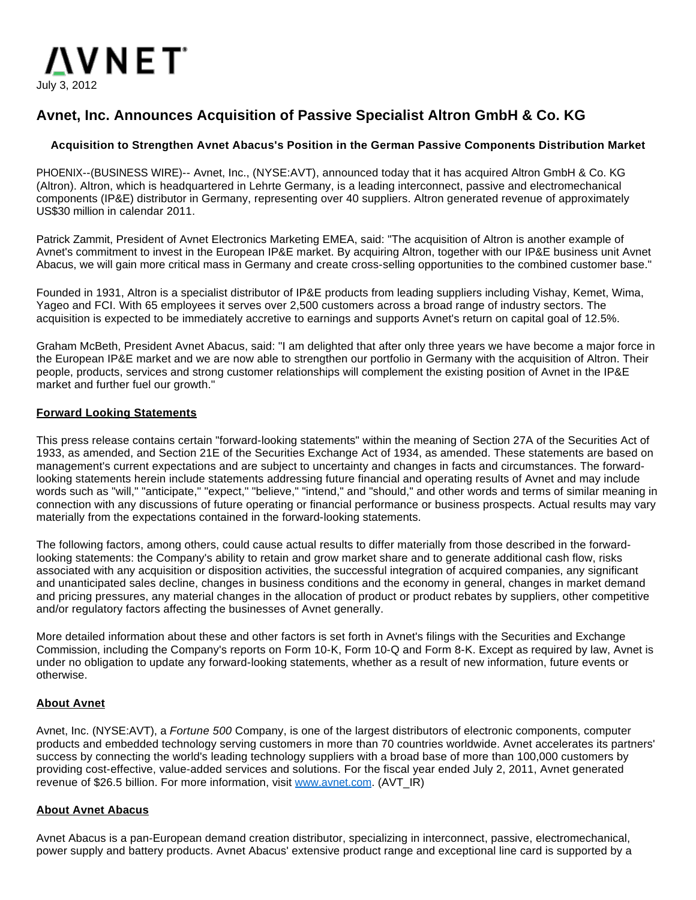

# **Avnet, Inc. Announces Acquisition of Passive Specialist Altron GmbH & Co. KG**

## **Acquisition to Strengthen Avnet Abacus's Position in the German Passive Components Distribution Market**

PHOENIX--(BUSINESS WIRE)-- Avnet, Inc., (NYSE:AVT), announced today that it has acquired Altron GmbH & Co. KG (Altron). Altron, which is headquartered in Lehrte Germany, is a leading interconnect, passive and electromechanical components (IP&E) distributor in Germany, representing over 40 suppliers. Altron generated revenue of approximately US\$30 million in calendar 2011.

Patrick Zammit, President of Avnet Electronics Marketing EMEA, said: "The acquisition of Altron is another example of Avnet's commitment to invest in the European IP&E market. By acquiring Altron, together with our IP&E business unit Avnet Abacus, we will gain more critical mass in Germany and create cross-selling opportunities to the combined customer base."

Founded in 1931, Altron is a specialist distributor of IP&E products from leading suppliers including Vishay, Kemet, Wima, Yageo and FCI. With 65 employees it serves over 2,500 customers across a broad range of industry sectors. The acquisition is expected to be immediately accretive to earnings and supports Avnet's return on capital goal of 12.5%.

Graham McBeth, President Avnet Abacus, said: "I am delighted that after only three years we have become a major force in the European IP&E market and we are now able to strengthen our portfolio in Germany with the acquisition of Altron. Their people, products, services and strong customer relationships will complement the existing position of Avnet in the IP&E market and further fuel our growth."

#### **Forward Looking Statements**

This press release contains certain "forward-looking statements" within the meaning of Section 27A of the Securities Act of 1933, as amended, and Section 21E of the Securities Exchange Act of 1934, as amended. These statements are based on management's current expectations and are subject to uncertainty and changes in facts and circumstances. The forwardlooking statements herein include statements addressing future financial and operating results of Avnet and may include words such as "will," "anticipate," "expect," "believe," "intend," and "should," and other words and terms of similar meaning in connection with any discussions of future operating or financial performance or business prospects. Actual results may vary materially from the expectations contained in the forward-looking statements.

The following factors, among others, could cause actual results to differ materially from those described in the forwardlooking statements: the Company's ability to retain and grow market share and to generate additional cash flow, risks associated with any acquisition or disposition activities, the successful integration of acquired companies, any significant and unanticipated sales decline, changes in business conditions and the economy in general, changes in market demand and pricing pressures, any material changes in the allocation of product or product rebates by suppliers, other competitive and/or regulatory factors affecting the businesses of Avnet generally.

More detailed information about these and other factors is set forth in Avnet's filings with the Securities and Exchange Commission, including the Company's reports on Form 10-K, Form 10-Q and Form 8-K. Except as required by law, Avnet is under no obligation to update any forward-looking statements, whether as a result of new information, future events or otherwise.

## **About Avnet**

Avnet, Inc. (NYSE:AVT), a Fortune 500 Company, is one of the largest distributors of electronic components, computer products and embedded technology serving customers in more than 70 countries worldwide. Avnet accelerates its partners' success by connecting the world's leading technology suppliers with a broad base of more than 100,000 customers by providing cost-effective, value-added services and solutions. For the fiscal year ended July 2, 2011, Avnet generated revenue of \$26.5 billion. For more information, visit [www.avnet.com](http://cts.businesswire.com/ct/CT?id=smartlink&url=http%3A%2F%2Fwww.avnet.com&esheet=50330225&lan=en-US&anchor=www.avnet.com&index=1&md5=d562cd0c6aecd6815e50c672f13c0a31). (AVT\_IR)

#### **About Avnet Abacus**

Avnet Abacus is a pan-European demand creation distributor, specializing in interconnect, passive, electromechanical, power supply and battery products. Avnet Abacus' extensive product range and exceptional line card is supported by a